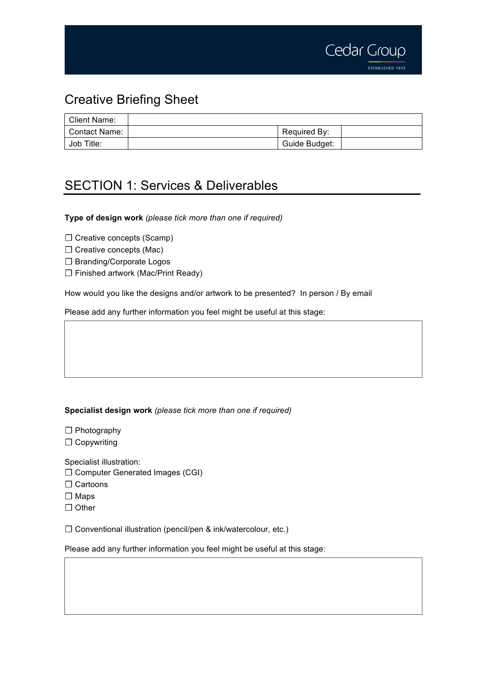

## Creative Briefing Sheet

| Client Name:  |               |  |
|---------------|---------------|--|
| Contact Name: | Required By:  |  |
| Job Title:    | Guide Budget: |  |

## SECTION 1: Services & Deliverables

**Type of design work** *(please tick more than one if required)*

☐ Creative concepts (Scamp)

□ Creative concepts (Mac)

☐ Branding/Corporate Logos

☐ Finished artwork (Mac/Print Ready)

How would you like the designs and/or artwork to be presented? In person / By email

Please add any further information you feel might be useful at this stage:

## **Specialist design work** *(please tick more than one if required)*

☐ Photography

☐ Copywriting

Specialist illustration:

- ☐ Computer Generated Images (CGI)
- □ Cartoons
- ☐ Maps
- ☐ Other

☐ Conventional illustration (pencil/pen & ink/watercolour, etc.)

Please add any further information you feel might be useful at this stage: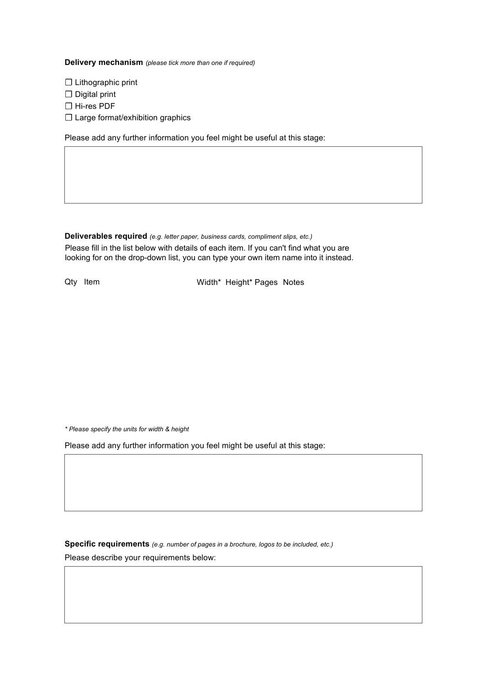**Delivery mechanism** *(please tick more than one if required)*

☐ Lithographic print

□ Digital print

☐ Hi-res PDF

□ Large format/exhibition graphics

Please add any further information you feel might be useful at this stage:

**Deliverables required** *(e.g. letter paper, business cards, compliment slips, etc.)* Please fill in the list below with details of each item. If you can't find what you are looking for on the drop-down list, you can type your own item name into it instead.

Qty Item

Width\* Height\* Pages Notes

*\* Please specify the units for width & height*

Please add any further information you feel might be useful at this stage:

**Specific requirements** *(e.g. number of pages in a brochure, logos to be included, etc.)* Please describe your requirements below: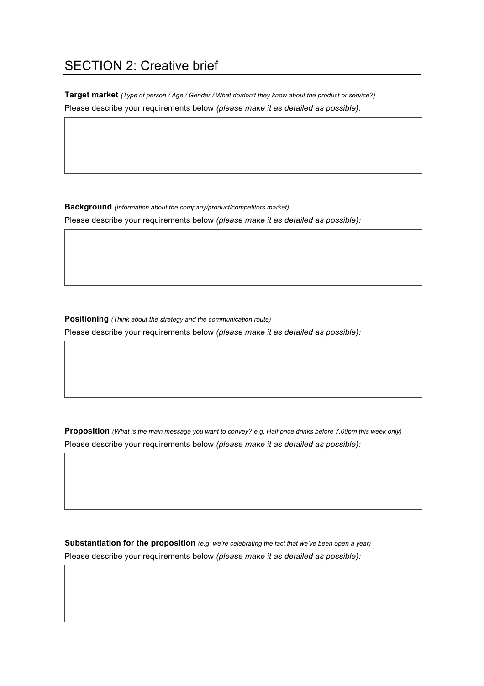## SECTION 2: Creative brief

**Target market** *(Type of person / Age / Gender / What do/don't they know about the product or service?)* Please describe your requirements below *(please make it as detailed as possible):*

**Background** *(Information about the company/product/competitors market)*

Please describe your requirements below *(please make it as detailed as possible):*

**Positioning** *(Think about the strategy and the communication route)*  Please describe your requirements below *(please make it as detailed as possible):*

**Proposition** *(What is the main message you want to convey? e.g. Half price drinks before 7.00pm this week only)* Please describe your requirements below *(please make it as detailed as possible):*

**Substantiation for the proposition** *(e.g. we're celebrating the fact that we've been open a year)* Please describe your requirements below *(please make it as detailed as possible):*